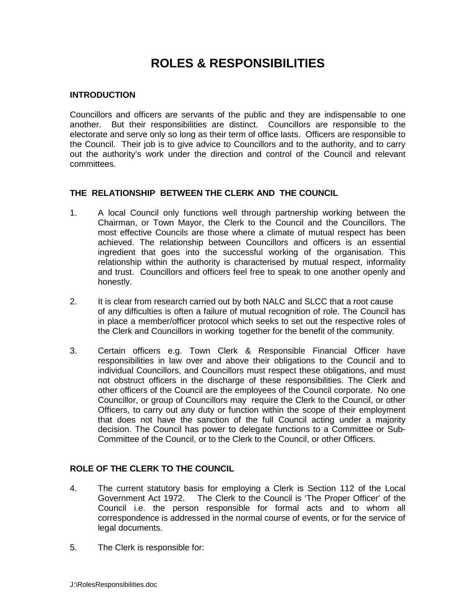# **ROLES & RESPONSIBILITIES**

#### **INTRODUCTION**

Councillors and officers are servants of the public and they are indispensable to one another. But their responsibilities are distinct. Councillors are responsible to the electorate and serve only so long as their term of office lasts. Officers are responsible to the Council. Their job is to give advice to Councillors and to the authority, and to carry out the authority's work under the direction and control of the Council and relevant committees.

#### **THE RELATIONSHIP BETWEEN THE CLERK AND THE COUNCIL**

- 1. A local Council only functions well through partnership working between the Chairman, or Town Mayor, the Clerk to the Council and the Councillors. The most effective Councils are those where a climate of mutual respect has been achieved. The relationship between Councillors and officers is an essential ingredient that goes into the successful working of the organisation. This relationship within the authority is characterised by mutual respect, informality and trust. Councillors and officers feel free to speak to one another openly and honestly.
- 2. It is clear from research carried out by both NALC and SLCC that a root cause of any difficulties is often a failure of mutual recognition of role. The Council has in place a member/officer protocol which seeks to set out the respective roles of the Clerk and Councillors in working together for the benefit of the community.
- 3. Certain officers e.g. Town Clerk & Responsible Financial Officer have responsibilities in law over and above their obligations to the Council and to individual Councillors, and Councillors must respect these obligations, and must not obstruct officers in the discharge of these responsibilities. The Clerk and other officers of the Council are the employees of the Council corporate. No one Councillor, or group of Councillors may require the Clerk to the Council, or other Officers, to carry out any duty or function within the scope of their employment that does not have the sanction of the full Council acting under a majority decision. The Council has power to delegate functions to a Committee or Sub-Committee of the Council, or to the Clerk to the Council, or other Officers.

## **ROLE OF THE CLERK TO THE COUNCIL**

- 4. The current statutory basis for employing a Clerk is Section 112 of the Local Government Act 1972. The Clerk to the Council is 'The Proper Officer' of the Council i.e. the person responsible for formal acts and to whom all correspondence is addressed in the normal course of events, or for the service of legal documents.
- 5. The Clerk is responsible for: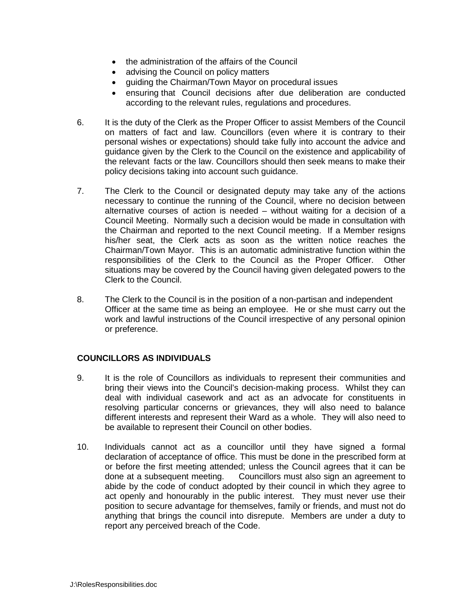- the administration of the affairs of the Council
- advising the Council on policy matters
- guiding the Chairman/Town Mayor on procedural issues
- ensuring that Council decisions after due deliberation are conducted according to the relevant rules, regulations and procedures.
- 6. It is the duty of the Clerk as the Proper Officer to assist Members of the Council on matters of fact and law. Councillors (even where it is contrary to their personal wishes or expectations) should take fully into account the advice and guidance given by the Clerk to the Council on the existence and applicability of the relevant facts or the law. Councillors should then seek means to make their policy decisions taking into account such guidance.
- 7. The Clerk to the Council or designated deputy may take any of the actions necessary to continue the running of the Council, where no decision between alternative courses of action is needed – without waiting for a decision of a Council Meeting. Normally such a decision would be made in consultation with the Chairman and reported to the next Council meeting. If a Member resigns his/her seat, the Clerk acts as soon as the written notice reaches the Chairman/Town Mayor. This is an automatic administrative function within the responsibilities of the Clerk to the Council as the Proper Officer. Other situations may be covered by the Council having given delegated powers to the Clerk to the Council.
- 8. The Clerk to the Council is in the position of a non-partisan and independent Officer at the same time as being an employee. He or she must carry out the work and lawful instructions of the Council irrespective of any personal opinion or preference.

## **COUNCILLORS AS INDIVIDUALS**

- 9. It is the role of Councillors as individuals to represent their communities and bring their views into the Council's decision-making process. Whilst they can deal with individual casework and act as an advocate for constituents in resolving particular concerns or grievances, they will also need to balance different interests and represent their Ward as a whole. They will also need to be available to represent their Council on other bodies.
- 10. Individuals cannot act as a councillor until they have signed a formal declaration of acceptance of office. This must be done in the prescribed form at or before the first meeting attended; unless the Council agrees that it can be done at a subsequent meeting. Councillors must also sign an agreement to abide by the code of conduct adopted by their council in which they agree to act openly and honourably in the public interest. They must never use their position to secure advantage for themselves, family or friends, and must not do anything that brings the council into disrepute. Members are under a duty to report any perceived breach of the Code.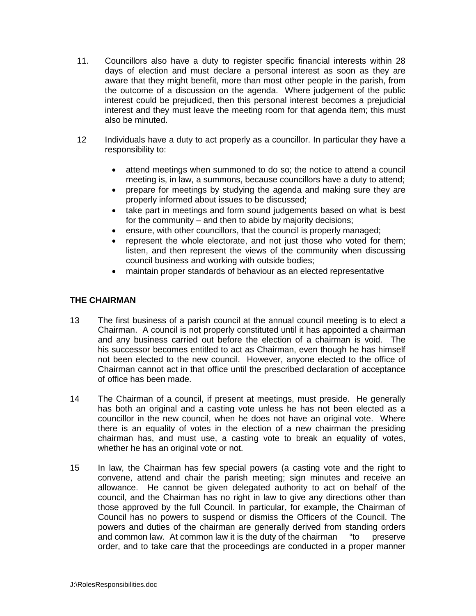- 11. Councillors also have a duty to register specific financial interests within 28 days of election and must declare a personal interest as soon as they are aware that they might benefit, more than most other people in the parish, from the outcome of a discussion on the agenda. Where judgement of the public interest could be prejudiced, then this personal interest becomes a prejudicial interest and they must leave the meeting room for that agenda item; this must also be minuted.
- 12 Individuals have a duty to act properly as a councillor. In particular they have a responsibility to:
	- attend meetings when summoned to do so; the notice to attend a council meeting is, in law, a summons, because councillors have a duty to attend;
	- prepare for meetings by studying the agenda and making sure they are properly informed about issues to be discussed;
	- take part in meetings and form sound judgements based on what is best for the community – and then to abide by majority decisions;
	- ensure, with other councillors, that the council is properly managed;
	- represent the whole electorate, and not just those who voted for them; listen, and then represent the views of the community when discussing council business and working with outside bodies;
	- maintain proper standards of behaviour as an elected representative

#### **THE CHAIRMAN**

- 13 The first business of a parish council at the annual council meeting is to elect a Chairman. A council is not properly constituted until it has appointed a chairman and any business carried out before the election of a chairman is void. The his successor becomes entitled to act as Chairman, even though he has himself not been elected to the new council. However, anyone elected to the office of Chairman cannot act in that office until the prescribed declaration of acceptance of office has been made.
- 14 The Chairman of a council, if present at meetings, must preside. He generally has both an original and a casting vote unless he has not been elected as a councillor in the new council, when he does not have an original vote. Where there is an equality of votes in the election of a new chairman the presiding chairman has, and must use, a casting vote to break an equality of votes, whether he has an original vote or not.
- 15 In law, the Chairman has few special powers (a casting vote and the right to convene, attend and chair the parish meeting; sign minutes and receive an allowance. He cannot be given delegated authority to act on behalf of the council, and the Chairman has no right in law to give any directions other than those approved by the full Council. In particular, for example, the Chairman of Council has no powers to suspend or dismiss the Officers of the Council. The powers and duties of the chairman are generally derived from standing orders and common law. At common law it is the duty of the chairman "to preserve order, and to take care that the proceedings are conducted in a proper manner